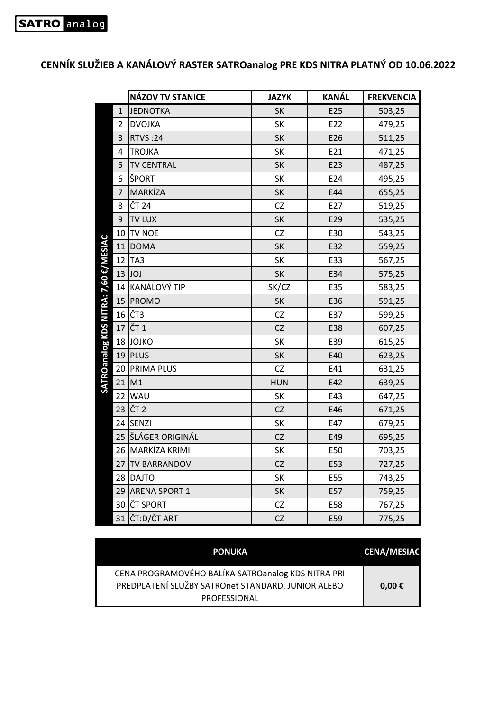## **NÁZOV TV STANICE JAZYK KANÁL FREKVENCIA** 1 JEDNOTKA REDORT SK REDORT SO3,25 2 DVOJKA RESOURCE SK E22 479,25 3 RTVS :24 SK B E26 511,25 4 TROJKA SK E21 471,25 5 TV CENTRAL SK BE23 487,25 6 ŠPORT SK E24 495,25 7 MARKÍZA SK E44 655,25 8 CT 24 CZ 2 E27 519,25 9 TV LUX SK E29 535.25 10 TV NOE CZ CZ E30 543,25 SATROanalog KDS NITRA: 7,60 €/MESIAC **SATROanalog KDS NITRA: 7,60 €/MESIAC** 11 DOMA SK B32 559,25 12 TA3 SK E33 567,25 13 JOJ SK E34 575,25 14 KANÁLOVÝ TIP SK/CZ | E35 | 583,25 15 PROMO SK BS6 591,25 16 CZ | E37 | 599,25 17 CT 1 CZ 2 E38 607,25 18 JOJKO | SK | E39 | 615,25 19 PLUS SK E40 623,25 20 PRIMA PLUS | CZ | E41 | 631,25 21 M1 HUN E42 639,25 22 WAU SK E43 647,25 23 CT 2 CZ 26 E46 671,25 24 SENZI SK E47 679,25 25 ŠLÁGER ORIGINÁL CZ E49 695,25 26 MARKÍZA KRIMI SK E50 703,25 27 TV BARRANDOV **CZ E53** 727,25 28 DAJTO SK E55 743,25 29 ARENA SPORT 1 SK BST 759,25 30 CT SPORT CZ | E58 | 767,25 31 CT:D/ČT ART CZ C E59 775,25

## **CENNÍK SLUŽIEB A KANÁLOVÝ RASTER SATROanalog PRE KDS NITRA PLATNÝ OD 10.06.2022**

| <b>PONUKA</b>                                                                                                                   | <b>CENA/MESIAC</b> |
|---------------------------------------------------------------------------------------------------------------------------------|--------------------|
| CENA PROGRAMOVÉHO BALÍKA SATROanalog KDS NITRA PRI<br>PREDPLATENÍ SLUŽBY SATROnet STANDARD, JUNIOR ALEBO<br><b>PROFESSIONAL</b> | $0,00 \in$         |